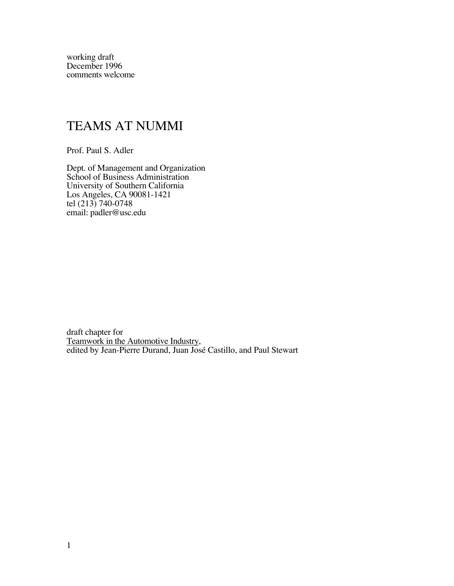working draft December 1996 comments welcome

# TEAMS AT NUMMI

Prof. Paul S. Adler

Dept. of Management and Organization School of Business Administration University of Southern California Los Angeles, CA 90081-1421 tel (213) 740-0748 email: padler@usc.edu

draft chapter for Teamwork in the Automotive Industry, edited by Jean-Pierre Durand, Juan José Castillo, and Paul Stewart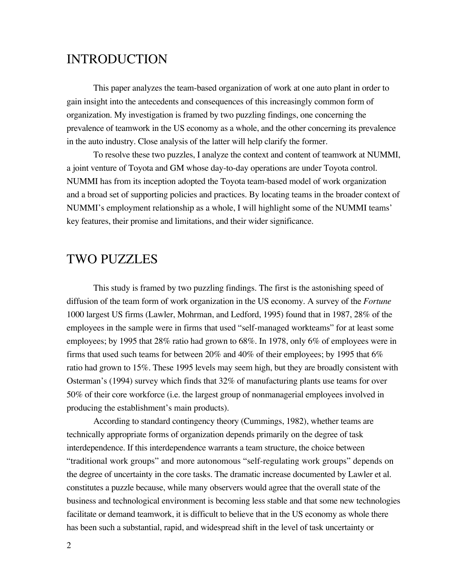## INTRODUCTION

This paper analyzes the team-based organization of work at one auto plant in order to gain insight into the antecedents and consequences of this increasingly common form of organization. My investigation is framed by two puzzling findings, one concerning the prevalence of teamwork in the US economy as a whole, and the other concerning its prevalence in the auto industry. Close analysis of the latter will help clarify the former.

To resolve these two puzzles, I analyze the context and content of teamwork at NUMMI, a joint venture of Toyota and GM whose day-to-day operations are under Toyota control. NUMMI has from its inception adopted the Toyota team-based model of work organization and a broad set of supporting policies and practices. By locating teams in the broader context of NUMMI's employment relationship as a whole, I will highlight some of the NUMMI teams' key features, their promise and limitations, and their wider significance.

## TWO PUZZLES

This study is framed by two puzzling findings. The first is the astonishing speed of diffusion of the team form of work organization in the US economy. A survey of the *Fortune* 1000 largest US firms (Lawler, Mohrman, and Ledford, 1995) found that in 1987, 28% of the employees in the sample were in firms that used "self-managed workteams" for at least some employees; by 1995 that 28% ratio had grown to 68%. In 1978, only 6% of employees were in firms that used such teams for between 20% and 40% of their employees; by 1995 that 6% ratio had grown to 15%. These 1995 levels may seem high, but they are broadly consistent with Osterman's (1994) survey which finds that 32% of manufacturing plants use teams for over 50% of their core workforce (i.e. the largest group of nonmanagerial employees involved in producing the establishment's main products).

According to standard contingency theory (Cummings, 1982), whether teams are technically appropriate forms of organization depends primarily on the degree of task interdependence. If this interdependence warrants a team structure, the choice between "traditional work groups" and more autonomous "self-regulating work groups" depends on the degree of uncertainty in the core tasks. The dramatic increase documented by Lawler et al. constitutes a puzzle because, while many observers would agree that the overall state of the business and technological environment is becoming less stable and that some new technologies facilitate or demand teamwork, it is difficult to believe that in the US economy as whole there has been such a substantial, rapid, and widespread shift in the level of task uncertainty or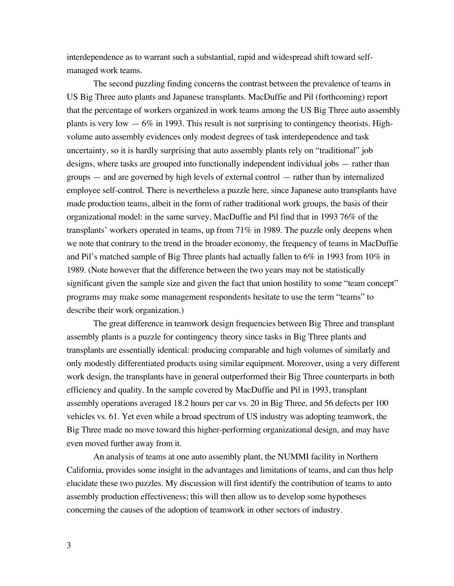interdependence as to warrant such a substantial, rapid and widespread shift toward selfmanaged work teams.

The second puzzling finding concerns the contrast between the prevalence of teams in US Big Three auto plants and Japanese transplants. MacDuffie and Pil (forthcoming) report that the percentage of workers organized in work teams among the US Big Three auto assembly plants is very low  $-6\%$  in 1993. This result is not surprising to contingency theorists. Highvolume auto assembly evidences only modest degrees of task interdependence and task uncertainty, so it is hardly surprising that auto assembly plants rely on "traditional" job designs, where tasks are grouped into functionally independent individual jobs — rather than groups — and are governed by high levels of external control — rather than by internalized employee self-control. There is nevertheless a puzzle here, since Japanese auto transplants have made production teams, albeit in the form of rather traditional work groups, the basis of their organizational model: in the same survey, MacDuffie and Pil find that in 1993 76% of the transplants' workers operated in teams, up from 71% in 1989. The puzzle only deepens when we note that contrary to the trend in the broader economy, the frequency of teams in MacDuffie and Pil's matched sample of Big Three plants had actually fallen to 6% in 1993 from 10% in 1989. (Note however that the difference between the two years may not be statistically significant given the sample size and given the fact that union hostility to some "team concept" programs may make some management respondents hesitate to use the term "teams" to describe their work organization.)

The great difference in teamwork design frequencies between Big Three and transplant assembly plants is a puzzle for contingency theory since tasks in Big Three plants and transplants are essentially identical: producing comparable and high volumes of similarly and only modestly differentiated products using similar equipment. Moreover, using a very different work design, the transplants have in general outperformed their Big Three counterparts in both efficiency and quality. In the sample covered by MacDuffie and Pil in 1993, transplant assembly operations averaged 18.2 hours per car vs. 20 in Big Three, and 56 defects per 100 vehicles vs. 61. Yet even while a broad spectrum of US industry was adopting teamwork, the Big Three made no move toward this higher-performing organizational design, and may have even moved further away from it.

An analysis of teams at one auto assembly plant, the NUMMI facility in Northern California, provides some insight in the advantages and limitations of teams, and can thus help elucidate these two puzzles. My discussion will first identify the contribution of teams to auto assembly production effectiveness; this will then allow us to develop some hypotheses concerning the causes of the adoption of teamwork in other sectors of industry.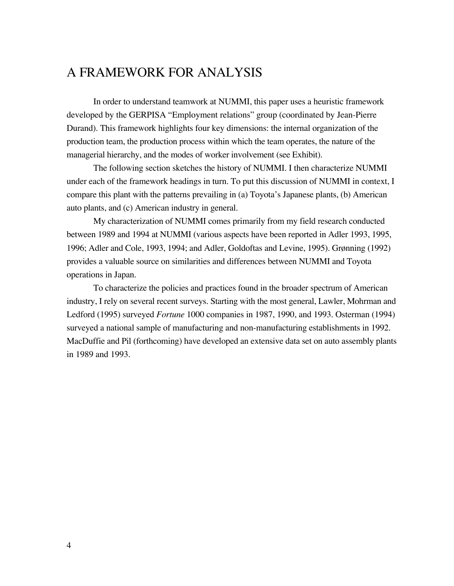### A FRAMEWORK FOR ANALYSIS

In order to understand teamwork at NUMMI, this paper uses a heuristic framework developed by the GERPISA "Employment relations" group (coordinated by Jean-Pierre Durand). This framework highlights four key dimensions: the internal organization of the production team, the production process within which the team operates, the nature of the managerial hierarchy, and the modes of worker involvement (see Exhibit).

The following section sketches the history of NUMMI. I then characterize NUMMI under each of the framework headings in turn. To put this discussion of NUMMI in context, I compare this plant with the patterns prevailing in (a) Toyota's Japanese plants, (b) American auto plants, and (c) American industry in general.

My characterization of NUMMI comes primarily from my field research conducted between 1989 and 1994 at NUMMI (various aspects have been reported in Adler 1993, 1995, 1996; Adler and Cole, 1993, 1994; and Adler, Goldoftas and Levine, 1995). Grønning (1992) provides a valuable source on similarities and differences between NUMMI and Toyota operations in Japan.

To characterize the policies and practices found in the broader spectrum of American industry, I rely on several recent surveys. Starting with the most general, Lawler, Mohrman and Ledford (1995) surveyed *Fortune* 1000 companies in 1987, 1990, and 1993. Osterman (1994) surveyed a national sample of manufacturing and non-manufacturing establishments in 1992. MacDuffie and Pil (forthcoming) have developed an extensive data set on auto assembly plants in 1989 and 1993.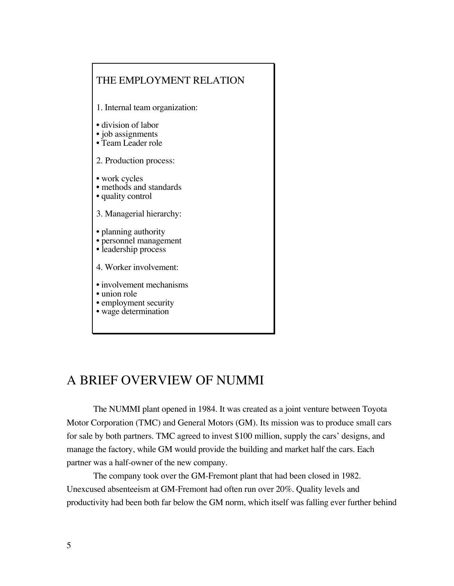

## A BRIEF OVERVIEW OF NUMMI

The NUMMI plant opened in 1984. It was created as a joint venture between Toyota Motor Corporation (TMC) and General Motors (GM). Its mission was to produce small cars for sale by both partners. TMC agreed to invest \$100 million, supply the cars' designs, and manage the factory, while GM would provide the building and market half the cars. Each partner was a half-owner of the new company.

The company took over the GM-Fremont plant that had been closed in 1982. Unexcused absenteeism at GM-Fremont had often run over 20%. Quality levels and productivity had been both far below the GM norm, which itself was falling ever further behind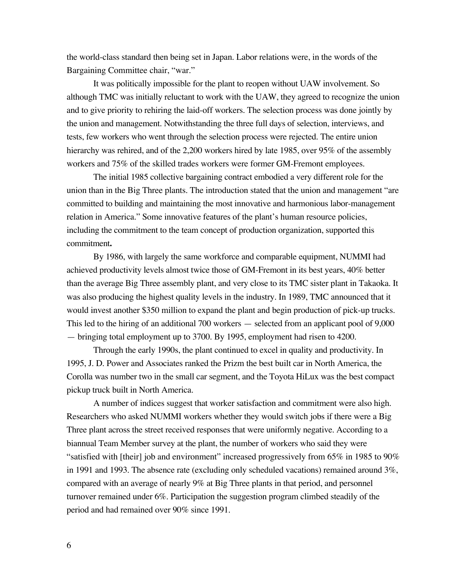the world-class standard then being set in Japan. Labor relations were, in the words of the Bargaining Committee chair, "war."

It was politically impossible for the plant to reopen without UAW involvement. So although TMC was initially reluctant to work with the UAW, they agreed to recognize the union and to give priority to rehiring the laid-off workers. The selection process was done jointly by the union and management. Notwithstanding the three full days of selection, interviews, and tests, few workers who went through the selection process were rejected. The entire union hierarchy was rehired, and of the 2,200 workers hired by late 1985, over 95% of the assembly workers and 75% of the skilled trades workers were former GM-Fremont employees.

The initial 1985 collective bargaining contract embodied a very different role for the union than in the Big Three plants. The introduction stated that the union and management "are committed to building and maintaining the most innovative and harmonious labor-management relation in America." Some innovative features of the plant's human resource policies, including the commitment to the team concept of production organization, supported this commitment**.**

By 1986, with largely the same workforce and comparable equipment, NUMMI had achieved productivity levels almost twice those of GM-Fremont in its best years, 40% better than the average Big Three assembly plant, and very close to its TMC sister plant in Takaoka. It was also producing the highest quality levels in the industry. In 1989, TMC announced that it would invest another \$350 million to expand the plant and begin production of pick-up trucks. This led to the hiring of an additional 700 workers — selected from an applicant pool of 9,000 — bringing total employment up to 3700. By 1995, employment had risen to 4200.

Through the early 1990s, the plant continued to excel in quality and productivity. In 1995, J. D. Power and Associates ranked the Prizm the best built car in North America, the Corolla was number two in the small car segment, and the Toyota HiLux was the best compact pickup truck built in North America.

A number of indices suggest that worker satisfaction and commitment were also high. Researchers who asked NUMMI workers whether they would switch jobs if there were a Big Three plant across the street received responses that were uniformly negative. According to a biannual Team Member survey at the plant, the number of workers who said they were "satisfied with [their] job and environment" increased progressively from  $65\%$  in 1985 to 90% in 1991 and 1993. The absence rate (excluding only scheduled vacations) remained around 3%, compared with an average of nearly 9% at Big Three plants in that period, and personnel turnover remained under 6%. Participation the suggestion program climbed steadily of the period and had remained over 90% since 1991.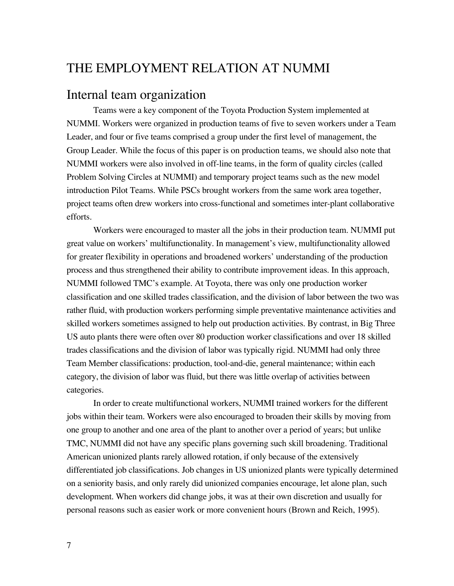### THE EMPLOYMENT RELATION AT NUMMI

### Internal team organization

Teams were a key component of the Toyota Production System implemented at NUMMI. Workers were organized in production teams of five to seven workers under a Team Leader, and four or five teams comprised a group under the first level of management, the Group Leader. While the focus of this paper is on production teams, we should also note that NUMMI workers were also involved in off-line teams, in the form of quality circles (called Problem Solving Circles at NUMMI) and temporary project teams such as the new model introduction Pilot Teams. While PSCs brought workers from the same work area together, project teams often drew workers into cross-functional and sometimes inter-plant collaborative efforts.

Workers were encouraged to master all the jobs in their production team. NUMMI put great value on workers' multifunctionality. In management's view, multifunctionality allowed for greater flexibility in operations and broadened workers' understanding of the production process and thus strengthened their ability to contribute improvement ideas. In this approach, NUMMI followed TMC's example. At Toyota, there was only one production worker classification and one skilled trades classification, and the division of labor between the two was rather fluid, with production workers performing simple preventative maintenance activities and skilled workers sometimes assigned to help out production activities. By contrast, in Big Three US auto plants there were often over 80 production worker classifications and over 18 skilled trades classifications and the division of labor was typically rigid. NUMMI had only three Team Member classifications: production, tool-and-die, general maintenance; within each category, the division of labor was fluid, but there was little overlap of activities between categories.

In order to create multifunctional workers, NUMMI trained workers for the different jobs within their team. Workers were also encouraged to broaden their skills by moving from one group to another and one area of the plant to another over a period of years; but unlike TMC, NUMMI did not have any specific plans governing such skill broadening. Traditional American unionized plants rarely allowed rotation, if only because of the extensively differentiated job classifications. Job changes in US unionized plants were typically determined on a seniority basis, and only rarely did unionized companies encourage, let alone plan, such development. When workers did change jobs, it was at their own discretion and usually for personal reasons such as easier work or more convenient hours (Brown and Reich, 1995).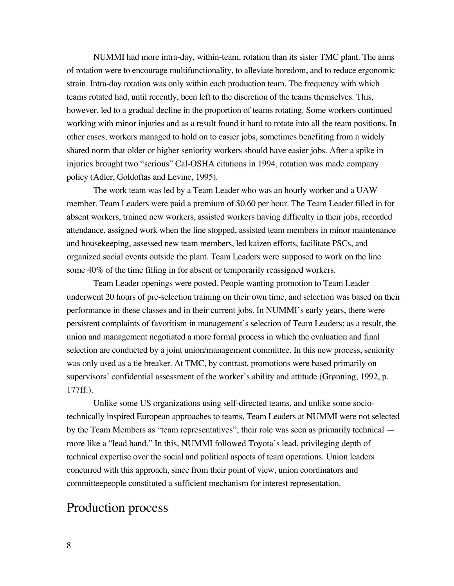NUMMI had more intra-day, within-team, rotation than its sister TMC plant. The aims of rotation were to encourage multifunctionality, to alleviate boredom, and to reduce ergonomic strain. Intra-day rotation was only within each production team. The frequency with which teams rotated had, until recently, been left to the discretion of the teams themselves. This, however, led to a gradual decline in the proportion of teams rotating. Some workers continued working with minor injuries and as a result found it hard to rotate into all the team positions. In other cases, workers managed to hold on to easier jobs, sometimes benefiting from a widely shared norm that older or higher seniority workers should have easier jobs. After a spike in injuries brought two "serious" Cal-OSHA citations in 1994, rotation was made company policy (Adler, Goldoftas and Levine, 1995).

The work team was led by a Team Leader who was an hourly worker and a UAW member. Team Leaders were paid a premium of \$0.60 per hour. The Team Leader filled in for absent workers, trained new workers, assisted workers having difficulty in their jobs, recorded attendance, assigned work when the line stopped, assisted team members in minor maintenance and housekeeping, assessed new team members, led kaizen efforts, facilitate PSCs, and organized social events outside the plant. Team Leaders were supposed to work on the line some 40% of the time filling in for absent or temporarily reassigned workers.

Team Leader openings were posted. People wanting promotion to Team Leader underwent 20 hours of pre-selection training on their own time, and selection was based on their performance in these classes and in their current jobs. In NUMMI's early years, there were persistent complaints of favoritism in management's selection of Team Leaders; as a result, the union and management negotiated a more formal process in which the evaluation and final selection are conducted by a joint union/management committee. In this new process, seniority was only used as a tie breaker. At TMC, by contrast, promotions were based primarily on supervisors' confidential assessment of the worker's ability and attitude (Grønning, 1992, p. 177ff.).

Unlike some US organizations using self-directed teams, and unlike some sociotechnically inspired European approaches to teams, Team Leaders at NUMMI were not selected by the Team Members as "team representatives"; their role was seen as primarily technical more like a "lead hand." In this, NUMMI followed Toyota's lead, privileging depth of technical expertise over the social and political aspects of team operations. Union leaders concurred with this approach, since from their point of view, union coordinators and committeepeople constituted a sufficient mechanism for interest representation.

### Production process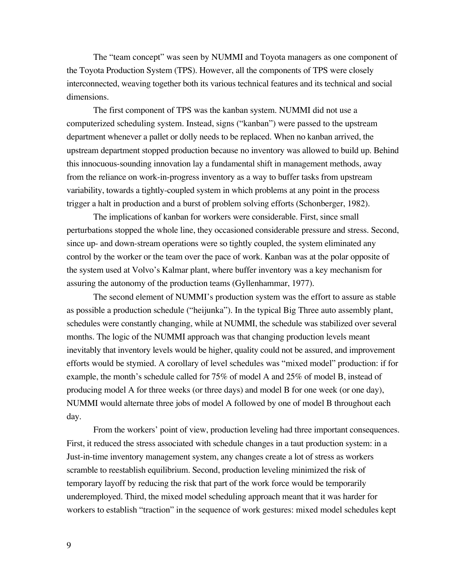The "team concept" was seen by NUMMI and Toyota managers as one component of the Toyota Production System (TPS). However, all the components of TPS were closely interconnected, weaving together both its various technical features and its technical and social dimensions.

The first component of TPS was the kanban system. NUMMI did not use a computerized scheduling system. Instead, signs ("kanban") were passed to the upstream department whenever a pallet or dolly needs to be replaced. When no kanban arrived, the upstream department stopped production because no inventory was allowed to build up. Behind this innocuous-sounding innovation lay a fundamental shift in management methods, away from the reliance on work-in-progress inventory as a way to buffer tasks from upstream variability, towards a tightly-coupled system in which problems at any point in the process trigger a halt in production and a burst of problem solving efforts (Schonberger, 1982).

The implications of kanban for workers were considerable. First, since small perturbations stopped the whole line, they occasioned considerable pressure and stress. Second, since up- and down-stream operations were so tightly coupled, the system eliminated any control by the worker or the team over the pace of work. Kanban was at the polar opposite of the system used at Volvo's Kalmar plant, where buffer inventory was a key mechanism for assuring the autonomy of the production teams (Gyllenhammar, 1977).

The second element of NUMMI's production system was the effort to assure as stable as possible a production schedule ("heijunka"). In the typical Big Three auto assembly plant, schedules were constantly changing, while at NUMMI, the schedule was stabilized over several months. The logic of the NUMMI approach was that changing production levels meant inevitably that inventory levels would be higher, quality could not be assured, and improvement efforts would be stymied. A corollary of level schedules was "mixed model" production: if for example, the month's schedule called for 75% of model A and 25% of model B, instead of producing model A for three weeks (or three days) and model B for one week (or one day), NUMMI would alternate three jobs of model A followed by one of model B throughout each day.

From the workers' point of view, production leveling had three important consequences. First, it reduced the stress associated with schedule changes in a taut production system: in a Just-in-time inventory management system, any changes create a lot of stress as workers scramble to reestablish equilibrium. Second, production leveling minimized the risk of temporary layoff by reducing the risk that part of the work force would be temporarily underemployed. Third, the mixed model scheduling approach meant that it was harder for workers to establish "traction" in the sequence of work gestures: mixed model schedules kept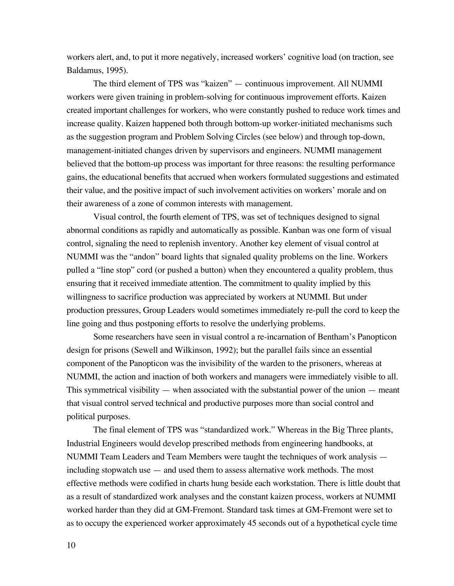workers alert, and, to put it more negatively, increased workers' cognitive load (on traction, see Baldamus, 1995).

The third element of TPS was "kaizen" —!continuous improvement. All NUMMI workers were given training in problem-solving for continuous improvement efforts. Kaizen created important challenges for workers, who were constantly pushed to reduce work times and increase quality. Kaizen happened both through bottom-up worker-initiated mechanisms such as the suggestion program and Problem Solving Circles (see below) and through top-down, management-initiated changes driven by supervisors and engineers. NUMMI management believed that the bottom-up process was important for three reasons: the resulting performance gains, the educational benefits that accrued when workers formulated suggestions and estimated their value, and the positive impact of such involvement activities on workers' morale and on their awareness of a zone of common interests with management.

Visual control, the fourth element of TPS, was set of techniques designed to signal abnormal conditions as rapidly and automatically as possible. Kanban was one form of visual control, signaling the need to replenish inventory. Another key element of visual control at NUMMI was the "andon" board lights that signaled quality problems on the line. Workers pulled a "line stop" cord (or pushed a button) when they encountered a quality problem, thus ensuring that it received immediate attention. The commitment to quality implied by this willingness to sacrifice production was appreciated by workers at NUMMI. But under production pressures, Group Leaders would sometimes immediately re-pull the cord to keep the line going and thus postponing efforts to resolve the underlying problems.

Some researchers have seen in visual control a re-incarnation of Bentham's Panopticon design for prisons (Sewell and Wilkinson, 1992); but the parallel fails since an essential component of the Panopticon was the invisibility of the warden to the prisoners, whereas at NUMMI, the action and inaction of both workers and managers were immediately visible to all. This symmetrical visibility  $-$  when associated with the substantial power of the union  $-$  meant that visual control served technical and productive purposes more than social control and political purposes.

The final element of TPS was "standardized work." Whereas in the Big Three plants, Industrial Engineers would develop prescribed methods from engineering handbooks, at NUMMI Team Leaders and Team Members were taught the techniques of work analysis including stopwatch use — land used them to assess alternative work methods. The most effective methods were codified in charts hung beside each workstation. There is little doubt that as a result of standardized work analyses and the constant kaizen process, workers at NUMMI worked harder than they did at GM-Fremont. Standard task times at GM-Fremont were set to as to occupy the experienced worker approximately 45 seconds out of a hypothetical cycle time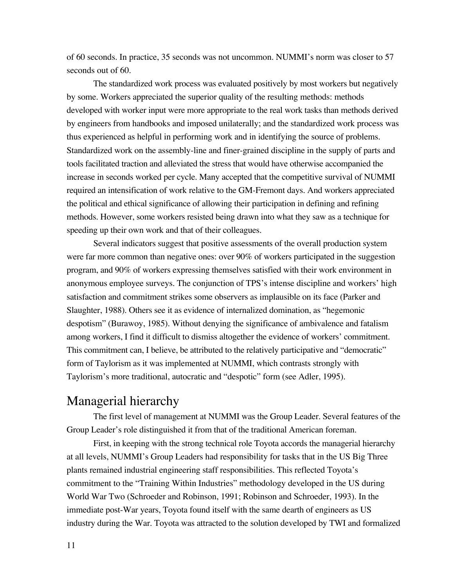of 60 seconds. In practice, 35 seconds was not uncommon. NUMMI's norm was closer to 57 seconds out of 60.

The standardized work process was evaluated positively by most workers but negatively by some. Workers appreciated the superior quality of the resulting methods: methods developed with worker input were more appropriate to the real work tasks than methods derived by engineers from handbooks and imposed unilaterally; and the standardized work process was thus experienced as helpful in performing work and in identifying the source of problems. Standardized work on the assembly-line and finer-grained discipline in the supply of parts and tools facilitated traction and alleviated the stress that would have otherwise accompanied the increase in seconds worked per cycle. Many accepted that the competitive survival of NUMMI required an intensification of work relative to the GM-Fremont days. And workers appreciated the political and ethical significance of allowing their participation in defining and refining methods. However, some workers resisted being drawn into what they saw as a technique for speeding up their own work and that of their colleagues.

Several indicators suggest that positive assessments of the overall production system were far more common than negative ones: over 90% of workers participated in the suggestion program, and 90% of workers expressing themselves satisfied with their work environment in anonymous employee surveys. The conjunction of TPS's intense discipline and workers' high satisfaction and commitment strikes some observers as implausible on its face (Parker and Slaughter, 1988). Others see it as evidence of internalized domination, as "hegemonic despotism" (Burawoy, 1985). Without denying the significance of ambivalence and fatalism among workers, I find it difficult to dismiss altogether the evidence of workers' commitment. This commitment can, I believe, be attributed to the relatively participative and "democratic" form of Taylorism as it was implemented at NUMMI, which contrasts strongly with Taylorism's more traditional, autocratic and "despotic" form (see Adler, 1995).

# Managerial hierarchy

The first level of management at NUMMI was the Group Leader. Several features of the Group Leader's role distinguished it from that of the traditional American foreman.

First, in keeping with the strong technical role Toyota accords the managerial hierarchy at all levels, NUMMI's Group Leaders had responsibility for tasks that in the US Big Three plants remained industrial engineering staff responsibilities. This reflected Toyota's commitment to the "Training Within Industries" methodology developed in the US during World War Two (Schroeder and Robinson, 1991; Robinson and Schroeder, 1993). In the immediate post-War years, Toyota found itself with the same dearth of engineers as US industry during the War. Toyota was attracted to the solution developed by TWI and formalized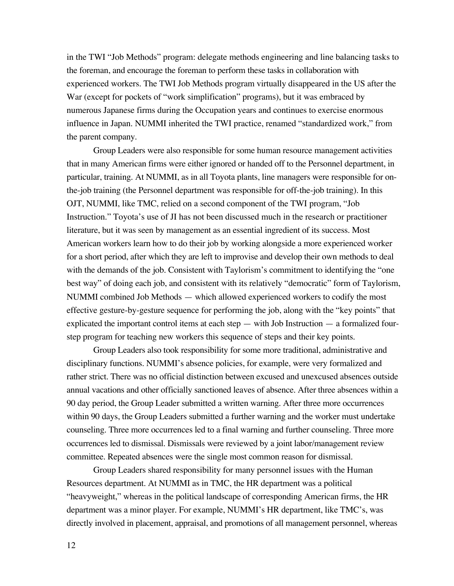in the TWI "Job Methods" program: delegate methods engineering and line balancing tasks to the foreman, and encourage the foreman to perform these tasks in collaboration with experienced workers. The TWI Job Methods program virtually disappeared in the US after the War (except for pockets of "work simplification" programs), but it was embraced by numerous Japanese firms during the Occupation years and continues to exercise enormous influence in Japan. NUMMI inherited the TWI practice, renamed "standardized work," from the parent company.

Group Leaders were also responsible for some human resource management activities that in many American firms were either ignored or handed off to the Personnel department, in particular, training. At NUMMI, as in all Toyota plants, line managers were responsible for onthe-job training (the Personnel department was responsible for off-the-job training). In this OJT, NUMMI, like TMC, relied on a second component of the TWI program, "Job Instruction." Toyota's use of JI has not been discussed much in the research or practitioner literature, but it was seen by management as an essential ingredient of its success. Most American workers learn how to do their job by working alongside a more experienced worker for a short period, after which they are left to improvise and develop their own methods to deal with the demands of the job. Consistent with Taylorism's commitment to identifying the "one" best way" of doing each job, and consistent with its relatively "democratic" form of Taylorism, NUMMI combined Job Methods — which allowed experienced workers to codify the most effective gesture-by-gesture sequence for performing the job, along with the "key points" that explicated the important control items at each step — with Job Instruction — a formalized fourstep program for teaching new workers this sequence of steps and their key points.

Group Leaders also took responsibility for some more traditional, administrative and disciplinary functions. NUMMI's absence policies, for example, were very formalized and rather strict. There was no official distinction between excused and unexcused absences outside annual vacations and other officially sanctioned leaves of absence. After three absences within a 90 day period, the Group Leader submitted a written warning. After three more occurrences within 90 days, the Group Leaders submitted a further warning and the worker must undertake counseling. Three more occurrences led to a final warning and further counseling. Three more occurrences led to dismissal. Dismissals were reviewed by a joint labor/management review committee. Repeated absences were the single most common reason for dismissal.

Group Leaders shared responsibility for many personnel issues with the Human Resources department. At NUMMI as in TMC, the HR department was a political "heavyweight," whereas in the political landscape of corresponding American firms, the HR department was a minor player. For example, NUMMI's HR department, like TMC's, was directly involved in placement, appraisal, and promotions of all management personnel, whereas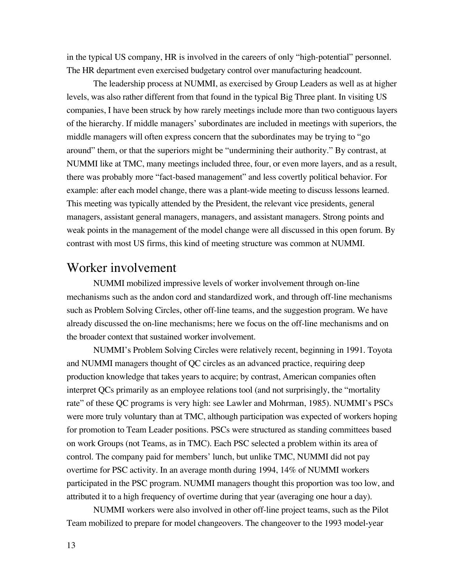in the typical US company, HR is involved in the careers of only "high-potential" personnel. The HR department even exercised budgetary control over manufacturing headcount.

The leadership process at NUMMI, as exercised by Group Leaders as well as at higher levels, was also rather different from that found in the typical Big Three plant. In visiting US companies, I have been struck by how rarely meetings include more than two contiguous layers of the hierarchy. If middle managers' subordinates are included in meetings with superiors, the middle managers will often express concern that the subordinates may be trying to "go around" them, or that the superiors might be "undermining their authority." By contrast, at NUMMI like at TMC, many meetings included three, four, or even more layers, and as a result, there was probably more "fact-based management" and less covertly political behavior. For example: after each model change, there was a plant-wide meeting to discuss lessons learned. This meeting was typically attended by the President, the relevant vice presidents, general managers, assistant general managers, managers, and assistant managers. Strong points and weak points in the management of the model change were all discussed in this open forum. By contrast with most US firms, this kind of meeting structure was common at NUMMI.

# Worker involvement

NUMMI mobilized impressive levels of worker involvement through on-line mechanisms such as the andon cord and standardized work, and through off-line mechanisms such as Problem Solving Circles, other off-line teams, and the suggestion program. We have already discussed the on-line mechanisms; here we focus on the off-line mechanisms and on the broader context that sustained worker involvement.

NUMMI's Problem Solving Circles were relatively recent, beginning in 1991. Toyota and NUMMI managers thought of QC circles as an advanced practice, requiring deep production knowledge that takes years to acquire; by contrast, American companies often interpret QCs primarily as an employee relations tool (and not surprisingly, the "mortality rate" of these QC programs is very high: see Lawler and Mohrman, 1985). NUMMI's PSCs were more truly voluntary than at TMC, although participation was expected of workers hoping for promotion to Team Leader positions. PSCs were structured as standing committees based on work Groups (not Teams, as in TMC). Each PSC selected a problem within its area of control. The company paid for members' lunch, but unlike TMC, NUMMI did not pay overtime for PSC activity. In an average month during 1994, 14% of NUMMI workers participated in the PSC program. NUMMI managers thought this proportion was too low, and attributed it to a high frequency of overtime during that year (averaging one hour a day).

NUMMI workers were also involved in other off-line project teams, such as the Pilot Team mobilized to prepare for model changeovers. The changeover to the 1993 model-year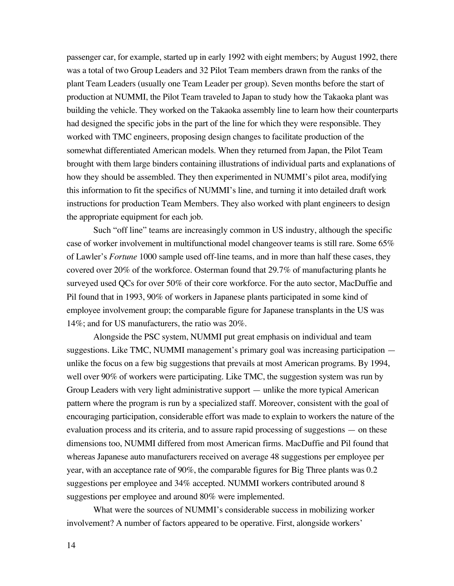passenger car, for example, started up in early 1992 with eight members; by August 1992, there was a total of two Group Leaders and 32 Pilot Team members drawn from the ranks of the plant Team Leaders (usually one Team Leader per group). Seven months before the start of production at NUMMI, the Pilot Team traveled to Japan to study how the Takaoka plant was building the vehicle. They worked on the Takaoka assembly line to learn how their counterparts had designed the specific jobs in the part of the line for which they were responsible. They worked with TMC engineers, proposing design changes to facilitate production of the somewhat differentiated American models. When they returned from Japan, the Pilot Team brought with them large binders containing illustrations of individual parts and explanations of how they should be assembled. They then experimented in NUMMI's pilot area, modifying this information to fit the specifics of NUMMI's line, and turning it into detailed draft work instructions for production Team Members. They also worked with plant engineers to design the appropriate equipment for each job.

Such "off line" teams are increasingly common in US industry, although the specific case of worker involvement in multifunctional model changeover teams is still rare. Some 65% of Lawler's *Fortune* 1000 sample used off-line teams, and in more than half these cases, they covered over 20% of the workforce. Osterman found that 29.7% of manufacturing plants he surveyed used QCs for over 50% of their core workforce. For the auto sector, MacDuffie and Pil found that in 1993, 90% of workers in Japanese plants participated in some kind of employee involvement group; the comparable figure for Japanese transplants in the US was 14%; and for US manufacturers, the ratio was 20%.

Alongside the PSC system, NUMMI put great emphasis on individual and team suggestions. Like TMC, NUMMI management's primary goal was increasing participation unlike the focus on a few big suggestions that prevails at most American programs. By 1994, well over 90% of workers were participating. Like TMC, the suggestion system was run by Group Leaders with very light administrative support — unlike the more typical American pattern where the program is run by a specialized staff. Moreover, consistent with the goal of encouraging participation, considerable effort was made to explain to workers the nature of the evaluation process and its criteria, and to assure rapid processing of suggestions — on these dimensions too, NUMMI differed from most American firms. MacDuffie and Pil found that whereas Japanese auto manufacturers received on average 48 suggestions per employee per year, with an acceptance rate of 90%, the comparable figures for Big Three plants was 0.2 suggestions per employee and 34% accepted. NUMMI workers contributed around 8 suggestions per employee and around 80% were implemented.

What were the sources of NUMMI's considerable success in mobilizing worker involvement? A number of factors appeared to be operative. First, alongside workers'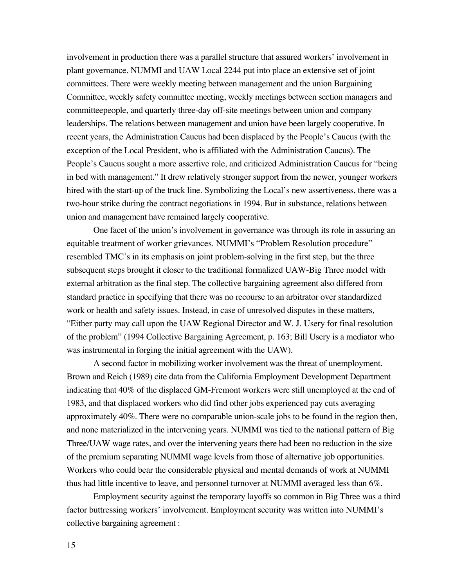involvement in production there was a parallel structure that assured workers' involvement in plant governance. NUMMI and UAW Local 2244 put into place an extensive set of joint committees. There were weekly meeting between management and the union Bargaining Committee, weekly safety committee meeting, weekly meetings between section managers and committeepeople, and quarterly three-day off-site meetings between union and company leaderships. The relations between management and union have been largely cooperative. In recent years, the Administration Caucus had been displaced by the People's Caucus (with the exception of the Local President, who is affiliated with the Administration Caucus). The People's Caucus sought a more assertive role, and criticized Administration Caucus for "being in bed with management." It drew relatively stronger support from the newer, younger workers hired with the start-up of the truck line. Symbolizing the Local's new assertiveness, there was a two-hour strike during the contract negotiations in 1994. But in substance, relations between union and management have remained largely cooperative.

One facet of the union's involvement in governance was through its role in assuring an equitable treatment of worker grievances. NUMMI's "Problem Resolution procedure" resembled TMC's in its emphasis on joint problem-solving in the first step, but the three subsequent steps brought it closer to the traditional formalized UAW-Big Three model with external arbitration as the final step. The collective bargaining agreement also differed from standard practice in specifying that there was no recourse to an arbitrator over standardized work or health and safety issues. Instead, in case of unresolved disputes in these matters, "Either party may call upon the UAW Regional Director and W. J. Usery for final resolution of the problem" (1994 Collective Bargaining Agreement, p. 163; Bill Usery is a mediator who was instrumental in forging the initial agreement with the UAW).

A second factor in mobilizing worker involvement was the threat of unemployment. Brown and Reich (1989) cite data from the California Employment Development Department indicating that 40% of the displaced GM-Fremont workers were still unemployed at the end of 1983, and that displaced workers who did find other jobs experienced pay cuts averaging approximately 40%. There were no comparable union-scale jobs to be found in the region then, and none materialized in the intervening years. NUMMI was tied to the national pattern of Big Three/UAW wage rates, and over the intervening years there had been no reduction in the size of the premium separating NUMMI wage levels from those of alternative job opportunities. Workers who could bear the considerable physical and mental demands of work at NUMMI thus had little incentive to leave, and personnel turnover at NUMMI averaged less than 6%.

Employment security against the temporary layoffs so common in Big Three was a third factor buttressing workers' involvement. Employment security was written into NUMMI's collective bargaining agreement :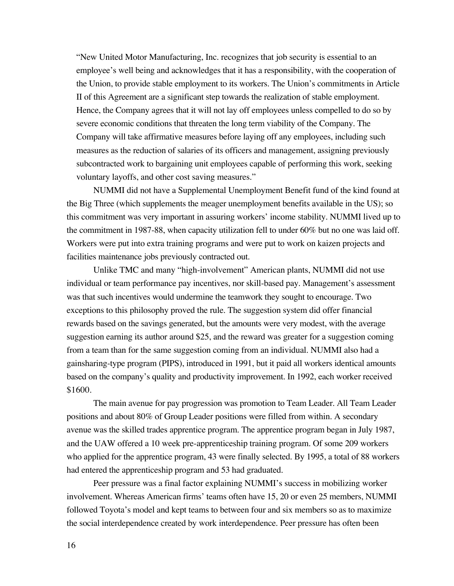"New United Motor Manufacturing, Inc. recognizes that job security is essential to an employee's well being and acknowledges that it has a responsibility, with the cooperation of the Union, to provide stable employment to its workers. The Union's commitments in Article II of this Agreement are a significant step towards the realization of stable employment. Hence, the Company agrees that it will not lay off employees unless compelled to do so by severe economic conditions that threaten the long term viability of the Company. The Company will take affirmative measures before laying off any employees, including such measures as the reduction of salaries of its officers and management, assigning previously subcontracted work to bargaining unit employees capable of performing this work, seeking voluntary layoffs, and other cost saving measures."

NUMMI did not have a Supplemental Unemployment Benefit fund of the kind found at the Big Three (which supplements the meager unemployment benefits available in the US); so this commitment was very important in assuring workers' income stability. NUMMI lived up to the commitment in 1987-88, when capacity utilization fell to under 60% but no one was laid off. Workers were put into extra training programs and were put to work on kaizen projects and facilities maintenance jobs previously contracted out.

Unlike TMC and many "high-involvement" American plants, NUMMI did not use individual or team performance pay incentives, nor skill-based pay. Management's assessment was that such incentives would undermine the teamwork they sought to encourage. Two exceptions to this philosophy proved the rule. The suggestion system did offer financial rewards based on the savings generated, but the amounts were very modest, with the average suggestion earning its author around \$25, and the reward was greater for a suggestion coming from a team than for the same suggestion coming from an individual. NUMMI also had a gainsharing-type program (PIPS), introduced in 1991, but it paid all workers identical amounts based on the company's quality and productivity improvement. In 1992, each worker received \$1600.

The main avenue for pay progression was promotion to Team Leader. All Team Leader positions and about 80% of Group Leader positions were filled from within. A secondary avenue was the skilled trades apprentice program. The apprentice program began in July 1987, and the UAW offered a 10 week pre-apprenticeship training program. Of some 209 workers who applied for the apprentice program, 43 were finally selected. By 1995, a total of 88 workers had entered the apprenticeship program and 53 had graduated.

Peer pressure was a final factor explaining NUMMI's success in mobilizing worker involvement. Whereas American firms' teams often have 15, 20 or even 25 members, NUMMI followed Toyota's model and kept teams to between four and six members so as to maximize the social interdependence created by work interdependence. Peer pressure has often been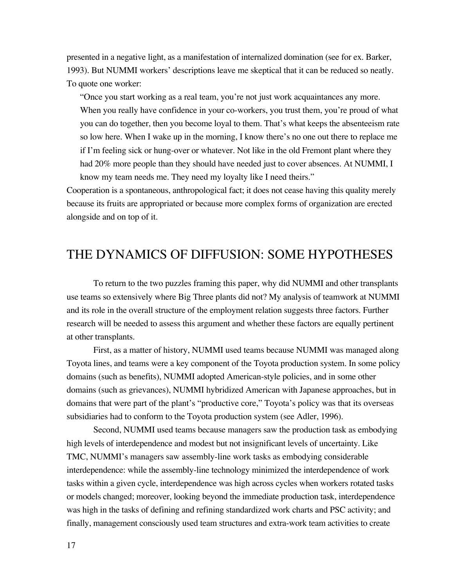presented in a negative light, as a manifestation of internalized domination (see for ex. Barker, 1993). But NUMMI workers' descriptions leave me skeptical that it can be reduced so neatly. To quote one worker:

"Once you start working as a real team, you're not just work acquaintances any more. When you really have confidence in your co-workers, you trust them, you're proud of what you can do together, then you become loyal to them. That's what keeps the absenteeism rate so low here. When I wake up in the morning, I know there's no one out there to replace me if I'm feeling sick or hung-over or whatever. Not like in the old Fremont plant where they had 20% more people than they should have needed just to cover absences. At NUMMI, I know my team needs me. They need my loyalty like I need theirs."

Cooperation is a spontaneous, anthropological fact; it does not cease having this quality merely because its fruits are appropriated or because more complex forms of organization are erected alongside and on top of it.

# THE DYNAMICS OF DIFFUSION: SOME HYPOTHESES

To return to the two puzzles framing this paper, why did NUMMI and other transplants use teams so extensively where Big Three plants did not? My analysis of teamwork at NUMMI and its role in the overall structure of the employment relation suggests three factors. Further research will be needed to assess this argument and whether these factors are equally pertinent at other transplants.

First, as a matter of history, NUMMI used teams because NUMMI was managed along Toyota lines, and teams were a key component of the Toyota production system. In some policy domains (such as benefits), NUMMI adopted American-style policies, and in some other domains (such as grievances), NUMMI hybridized American with Japanese approaches, but in domains that were part of the plant's "productive core," Toyota's policy was that its overseas subsidiaries had to conform to the Toyota production system (see Adler, 1996).

Second, NUMMI used teams because managers saw the production task as embodying high levels of interdependence and modest but not insignificant levels of uncertainty. Like TMC, NUMMI's managers saw assembly-line work tasks as embodying considerable interdependence: while the assembly-line technology minimized the interdependence of work tasks within a given cycle, interdependence was high across cycles when workers rotated tasks or models changed; moreover, looking beyond the immediate production task, interdependence was high in the tasks of defining and refining standardized work charts and PSC activity; and finally, management consciously used team structures and extra-work team activities to create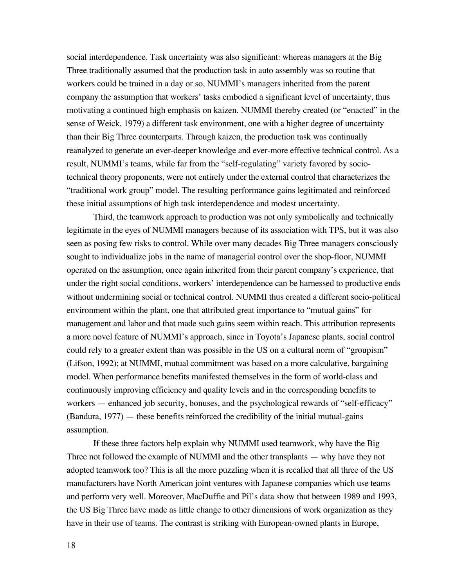social interdependence. Task uncertainty was also significant: whereas managers at the Big Three traditionally assumed that the production task in auto assembly was so routine that workers could be trained in a day or so, NUMMI's managers inherited from the parent company the assumption that workers' tasks embodied a significant level of uncertainty, thus motivating a continued high emphasis on kaizen. NUMMI thereby created (or "enacted" in the sense of Weick, 1979) a different task environment, one with a higher degree of uncertainty than their Big Three counterparts. Through kaizen, the production task was continually reanalyzed to generate an ever-deeper knowledge and ever-more effective technical control. As a result, NUMMI's teams, while far from the "self-regulating" variety favored by sociotechnical theory proponents, were not entirely under the external control that characterizes the "traditional work group" model. The resulting performance gains legitimated and reinforced these initial assumptions of high task interdependence and modest uncertainty.

Third, the teamwork approach to production was not only symbolically and technically legitimate in the eyes of NUMMI managers because of its association with TPS, but it was also seen as posing few risks to control. While over many decades Big Three managers consciously sought to individualize jobs in the name of managerial control over the shop-floor, NUMMI operated on the assumption, once again inherited from their parent company's experience, that under the right social conditions, workers' interdependence can be harnessed to productive ends without undermining social or technical control. NUMMI thus created a different socio-political environment within the plant, one that attributed great importance to "mutual gains" for management and labor and that made such gains seem within reach. This attribution represents a more novel feature of NUMMI's approach, since in Toyota's Japanese plants, social control could rely to a greater extent than was possible in the US on a cultural norm of "groupism" (Lifson, 1992); at NUMMI, mutual commitment was based on a more calculative, bargaining model. When performance benefits manifested themselves in the form of world-class and continuously improving efficiency and quality levels and in the corresponding benefits to workers — enhanced job security, bonuses, and the psychological rewards of "self-efficacy" (Bandura, 1977) — these benefits reinforced the credibility of the initial mutual-gains assumption.

If these three factors help explain why NUMMI used teamwork, why have the Big Three not followed the example of NUMMI and the other transplants — why have they not adopted teamwork too? This is all the more puzzling when it is recalled that all three of the US manufacturers have North American joint ventures with Japanese companies which use teams and perform very well. Moreover, MacDuffie and Pil's data show that between 1989 and 1993, the US Big Three have made as little change to other dimensions of work organization as they have in their use of teams. The contrast is striking with European-owned plants in Europe,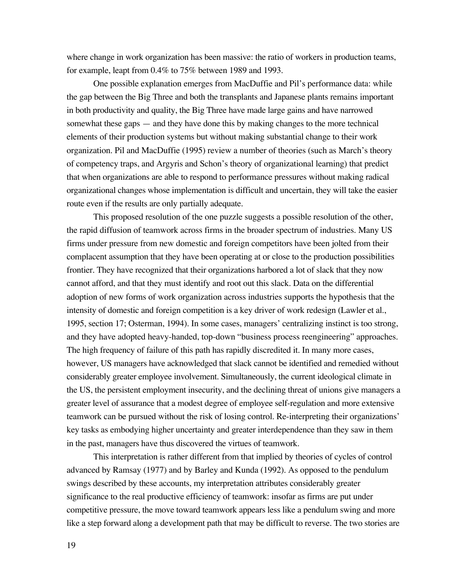where change in work organization has been massive: the ratio of workers in production teams, for example, leapt from 0.4% to 75% between 1989 and 1993.

One possible explanation emerges from MacDuffie and Pil's performance data: while the gap between the Big Three and both the transplants and Japanese plants remains important in both productivity and quality, the Big Three have made large gains and have narrowed somewhat these gaps — and they have done this by making changes to the more technical elements of their production systems but without making substantial change to their work organization. Pil and MacDuffie (1995) review a number of theories (such as March's theory of competency traps, and Argyris and Schon's theory of organizational learning) that predict that when organizations are able to respond to performance pressures without making radical organizational changes whose implementation is difficult and uncertain, they will take the easier route even if the results are only partially adequate.

This proposed resolution of the one puzzle suggests a possible resolution of the other, the rapid diffusion of teamwork across firms in the broader spectrum of industries. Many US firms under pressure from new domestic and foreign competitors have been jolted from their complacent assumption that they have been operating at or close to the production possibilities frontier. They have recognized that their organizations harbored a lot of slack that they now cannot afford, and that they must identify and root out this slack. Data on the differential adoption of new forms of work organization across industries supports the hypothesis that the intensity of domestic and foreign competition is a key driver of work redesign (Lawler et al., 1995, section 17; Osterman, 1994). In some cases, managers' centralizing instinct is too strong, and they have adopted heavy-handed, top-down "business process reengineering" approaches. The high frequency of failure of this path has rapidly discredited it. In many more cases, however, US managers have acknowledged that slack cannot be identified and remedied without considerably greater employee involvement. Simultaneously, the current ideological climate in the US, the persistent employment insecurity, and the declining threat of unions give managers a greater level of assurance that a modest degree of employee self-regulation and more extensive teamwork can be pursued without the risk of losing control. Re-interpreting their organizations' key tasks as embodying higher uncertainty and greater interdependence than they saw in them in the past, managers have thus discovered the virtues of teamwork.

This interpretation is rather different from that implied by theories of cycles of control advanced by Ramsay (1977) and by Barley and Kunda (1992). As opposed to the pendulum swings described by these accounts, my interpretation attributes considerably greater significance to the real productive efficiency of teamwork: insofar as firms are put under competitive pressure, the move toward teamwork appears less like a pendulum swing and more like a step forward along a development path that may be difficult to reverse. The two stories are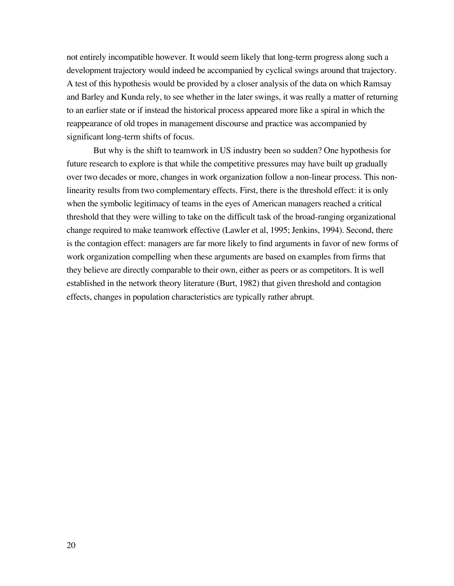not entirely incompatible however. It would seem likely that long-term progress along such a development trajectory would indeed be accompanied by cyclical swings around that trajectory. A test of this hypothesis would be provided by a closer analysis of the data on which Ramsay and Barley and Kunda rely, to see whether in the later swings, it was really a matter of returning to an earlier state or if instead the historical process appeared more like a spiral in which the reappearance of old tropes in management discourse and practice was accompanied by significant long-term shifts of focus.

But why is the shift to teamwork in US industry been so sudden? One hypothesis for future research to explore is that while the competitive pressures may have built up gradually over two decades or more, changes in work organization follow a non-linear process. This nonlinearity results from two complementary effects. First, there is the threshold effect: it is only when the symbolic legitimacy of teams in the eyes of American managers reached a critical threshold that they were willing to take on the difficult task of the broad-ranging organizational change required to make teamwork effective (Lawler et al, 1995; Jenkins, 1994). Second, there is the contagion effect: managers are far more likely to find arguments in favor of new forms of work organization compelling when these arguments are based on examples from firms that they believe are directly comparable to their own, either as peers or as competitors. It is well established in the network theory literature (Burt, 1982) that given threshold and contagion effects, changes in population characteristics are typically rather abrupt.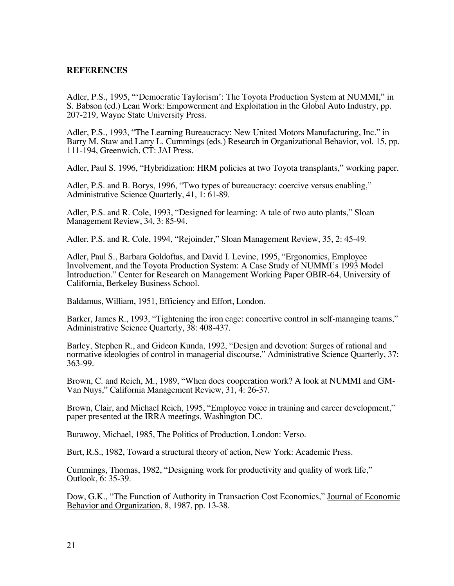#### **REFERENCES**

Adler, P.S., 1995, "'Democratic Taylorism': The Toyota Production System at NUMMI," in S. Babson (ed.) Lean Work: Empowerment and Exploitation in the Global Auto Industry, pp. 207-219, Wayne State University Press.

Adler, P.S., 1993, "The Learning Bureaucracy: New United Motors Manufacturing, Inc." in Barry M. Staw and Larry L. Cummings (eds.) Research in Organizational Behavior, vol. 15, pp. 111-194, Greenwich, CT: JAI Press.

Adler, Paul S. 1996, "Hybridization: HRM policies at two Toyota transplants," working paper.

Adler, P.S. and B. Borys, 1996, "Two types of bureaucracy: coercive versus enabling," Administrative Science Quarterly, 41, 1: 61-89.

Adler, P.S. and R. Cole, 1993, "Designed for learning: A tale of two auto plants," Sloan Management Review, 34, 3: 85-94.

Adler. P.S. and R. Cole, 1994, "Rejoinder," Sloan Management Review, 35, 2: 45-49.

Adler, Paul S., Barbara Goldoftas, and David I. Levine, 1995, "Ergonomics, Employee Involvement, and the Toyota Production System: A Case Study of NUMMI's 1993 Model Introduction." Center for Research on Management Working Paper OBIR-64, University of California, Berkeley Business School.

Baldamus, William, 1951, Efficiency and Effort, London.

Barker, James R., 1993, "Tightening the iron cage: concertive control in self-managing teams," Administrative Science Quarterly, 38: 408-437.

Barley, Stephen R., and Gideon Kunda, 1992, "Design and devotion: Surges of rational and normative ideologies of control in managerial discourse," Administrative Science Quarterly, 37: 363-99.

Brown, C. and Reich, M., 1989, "When does cooperation work? A look at NUMMI and GM-Van Nuys," California Management Review, 31, 4: 26-37.

Brown, Clair, and Michael Reich, 1995, "Employee voice in training and career development," paper presented at the IRRA meetings, Washington DC.

Burawoy, Michael, 1985, The Politics of Production, London: Verso.

Burt, R.S., 1982, Toward a structural theory of action, New York: Academic Press.

Cummings, Thomas, 1982, "Designing work for productivity and quality of work life," Outlook, 6: 35-39.

Dow, G.K., "The Function of Authority in Transaction Cost Economics," Journal of Economic Behavior and Organization, 8, 1987, pp. 13-38.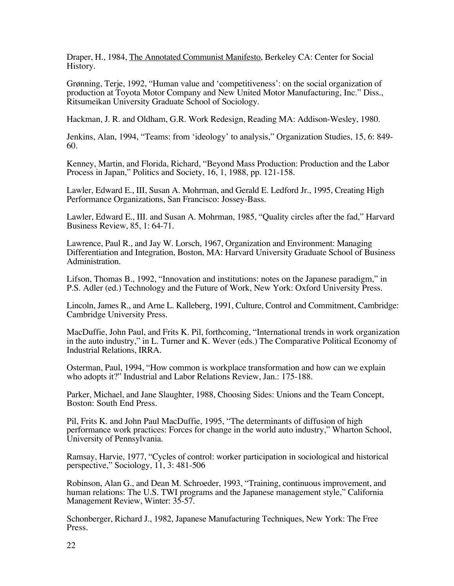Draper, H., 1984, The Annotated Communist Manifesto, Berkeley CA: Center for Social History.

Grønning, Terje, 1992, "Human value and 'competitiveness': on the social organization of production at Toyota Motor Company and New United Motor Manufacturing, Inc." Diss., Ritsumeikan University Graduate School of Sociology.

Hackman, J. R. and Oldham, G.R. Work Redesign, Reading MA: Addison-Wesley, 1980.

Jenkins, Alan, 1994, "Teams: from 'ideology' to analysis," Organization Studies, 15, 6: 849- 60.

Kenney, Martin, and Florida, Richard, "Beyond Mass Production: Production and the Labor Process in Japan," Politics and Society, 16, 1, 1988, pp. 121-158.

Lawler, Edward E., III, Susan A. Mohrman, and Gerald E. Ledford Jr., 1995, Creating High Performance Organizations, San Francisco: Jossey-Bass.

Lawler, Edward E., III. and Susan A. Mohrman, 1985, "Quality circles after the fad," Harvard Business Review, 85, 1: 64-71.

Lawrence, Paul R., and Jay W. Lorsch, 1967, Organization and Environment: Managing Differentiation and Integration, Boston, MA: Harvard University Graduate School of Business Administration.

Lifson, Thomas B., 1992, "Innovation and institutions: notes on the Japanese paradigm," in P.S. Adler (ed.) Technology and the Future of Work, New York: Oxford University Press.

Lincoln, James R., and Arne L. Kalleberg, 1991, Culture, Control and Commitment, Cambridge: Cambridge University Press.

MacDuffie, John Paul, and Frits K. Pil, forthcoming, "International trends in work organization in the auto industry," in L. Turner and K. Wever (eds.) The Comparative Political Economy of Industrial Relations, IRRA.

Osterman, Paul, 1994, "How common is workplace transformation and how can we explain who adopts it?" Industrial and Labor Relations Review, Jan.: 175-188.

Parker, Michael, and Jane Slaughter, 1988, Choosing Sides: Unions and the Team Concept, Boston: South End Press.

Pil, Frits K. and John Paul MacDuffie, 1995, "The determinants of diffusion of high performance work practices: Forces for change in the world auto industry," Wharton School, University of Pennsylvania.

Ramsay, Harvie, 1977, "Cycles of control: worker participation in sociological and historical perspective," Sociology, 11, 3: 481-506

Robinson, Alan G., and Dean M. Schroeder, 1993, "Training, continuous improvement, and human relations: The U.S. TWI programs and the Japanese management style," California Management Review, Winter: 35-57.

Schonberger, Richard J., 1982, Japanese Manufacturing Techniques, New York: The Free Press.